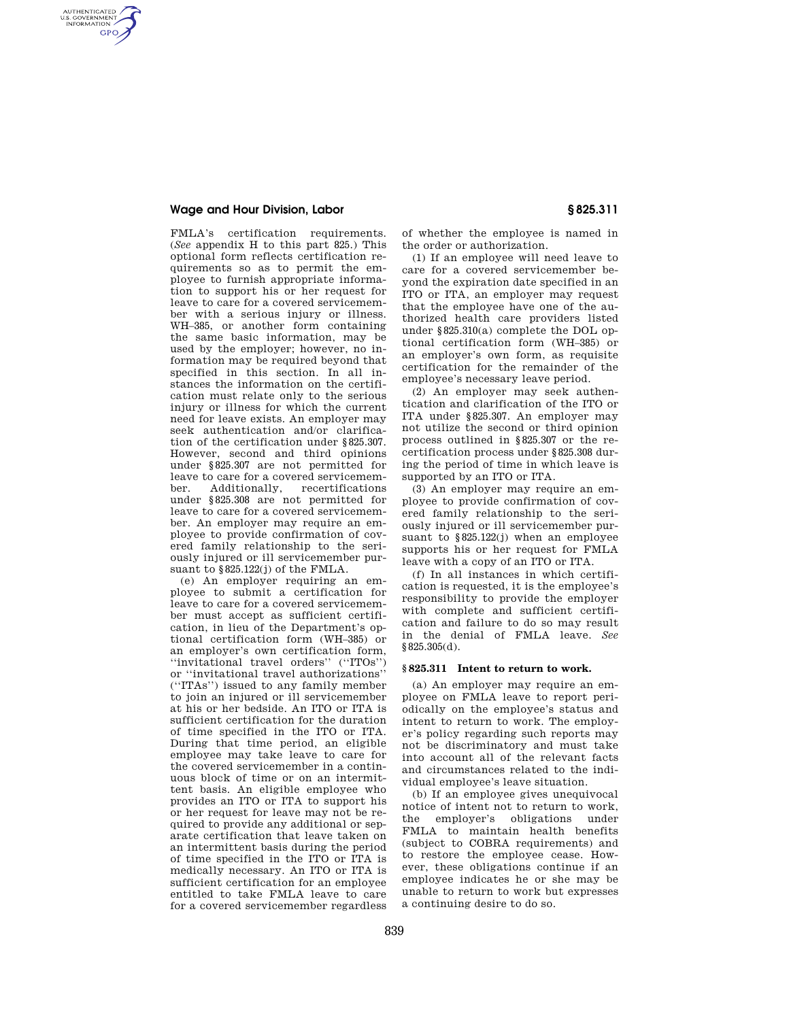### **Wage and Hour Division, Labor § 825.311**

AUTHENTICATED<br>U.S. GOVERNMENT<br>INFORMATION **GPO** 

> FMLA's certification requirements. (*See* appendix H to this part 825.) This optional form reflects certification requirements so as to permit the employee to furnish appropriate information to support his or her request for leave to care for a covered servicemember with a serious injury or illness. WH–385, or another form containing the same basic information, may be used by the employer; however, no information may be required beyond that specified in this section. In all instances the information on the certification must relate only to the serious injury or illness for which the current need for leave exists. An employer may seek authentication and/or clarification of the certification under §825.307. However, second and third opinions under §825.307 are not permitted for leave to care for a covered servicemember. Additionally, recertifications under §825.308 are not permitted for leave to care for a covered servicemember. An employer may require an employee to provide confirmation of covered family relationship to the seriously injured or ill servicemember pursuant to §825.122(j) of the FMLA.

> (e) An employer requiring an employee to submit a certification for leave to care for a covered servicemember must accept as sufficient certification, in lieu of the Department's optional certification form (WH–385) or an employer's own certification form, ''invitational travel orders'' (''ITOs'') or ''invitational travel authorizations'' (''ITAs'') issued to any family member to join an injured or ill servicemember at his or her bedside. An ITO or ITA is sufficient certification for the duration of time specified in the ITO or ITA. During that time period, an eligible employee may take leave to care for the covered servicemember in a continuous block of time or on an intermittent basis. An eligible employee who provides an ITO or ITA to support his or her request for leave may not be required to provide any additional or separate certification that leave taken on an intermittent basis during the period of time specified in the ITO or ITA is medically necessary. An ITO or ITA is sufficient certification for an employee entitled to take FMLA leave to care for a covered servicemember regardless

of whether the employee is named in the order or authorization.

(1) If an employee will need leave to care for a covered servicemember beyond the expiration date specified in an ITO or ITA, an employer may request that the employee have one of the authorized health care providers listed under §825.310(a) complete the DOL optional certification form (WH–385) or an employer's own form, as requisite certification for the remainder of the employee's necessary leave period.

(2) An employer may seek authentication and clarification of the ITO or ITA under §825.307. An employer may not utilize the second or third opinion process outlined in §825.307 or the recertification process under §825.308 during the period of time in which leave is supported by an ITO or ITA.

(3) An employer may require an employee to provide confirmation of covered family relationship to the seriously injured or ill servicemember pursuant to §825.122(j) when an employee supports his or her request for FMLA leave with a copy of an ITO or ITA.

(f) In all instances in which certification is requested, it is the employee's responsibility to provide the employer with complete and sufficient certification and failure to do so may result in the denial of FMLA leave. *See*  §825.305(d).

### **§ 825.311 Intent to return to work.**

(a) An employer may require an employee on FMLA leave to report periodically on the employee's status and intent to return to work. The employer's policy regarding such reports may not be discriminatory and must take into account all of the relevant facts and circumstances related to the individual employee's leave situation.

(b) If an employee gives unequivocal notice of intent not to return to work, the employer's obligations under FMLA to maintain health benefits (subject to COBRA requirements) and to restore the employee cease. However, these obligations continue if an employee indicates he or she may be unable to return to work but expresses a continuing desire to do so.